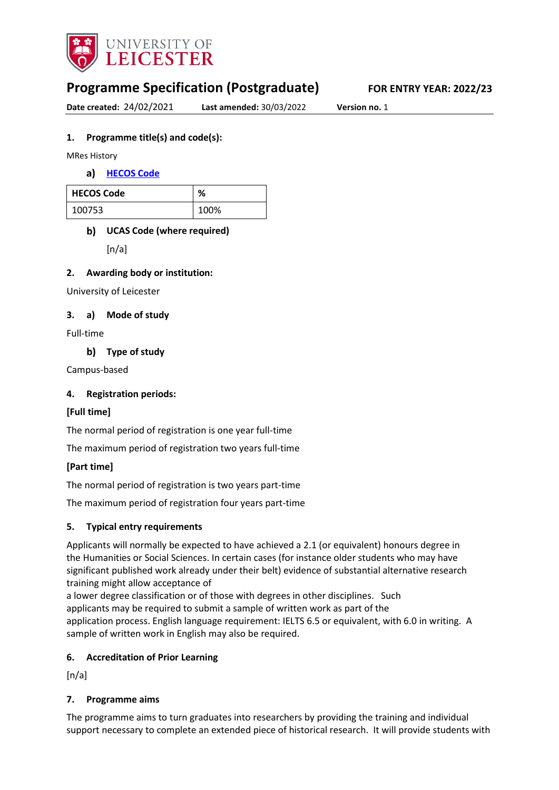

# **Programme Specification (Postgraduate) FOR ENTRY YEAR: 2022/23**

**Date created:** 24/02/2021 **Last amended:** 30/03/2022 **Version no.** 1

### **1. Programme title(s) and code(s):**

MRes History

**[HECOS Code](https://www.hesa.ac.uk/innovation/hecos)**

| <b>HECOS Code</b> | %    |
|-------------------|------|
| 100753            | 100% |

# **UCAS Code (where required)**

 $[n/a]$ 

### **2. Awarding body or institution:**

University of Leicester

### **3. a) Mode of study**

Full-time

**Type of study**

Campus-based

### **4. Registration periods:**

### **[Full time]**

The normal period of registration is one year full-time

The maximum period of registration two years full-time

### **[Part time]**

The normal period of registration is two years part-time

The maximum period of registration four years part-time

### **5. Typical entry requirements**

Applicants will normally be expected to have achieved a 2.1 (or equivalent) honours degree in the Humanities or Social Sciences. In certain cases (for instance older students who may have significant published work already under their belt) evidence of substantial alternative research training might allow acceptance of

a lower degree classification or of those with degrees in other disciplines. Such applicants may be required to submit a sample of written work as part of the application process. English language requirement: IELTS 6.5 or equivalent, with 6.0 in writing. A sample of written work in English may also be required.

### **6. Accreditation of Prior Learning**

 $[n/a]$ 

### **7. Programme aims**

The programme aims to turn graduates into researchers by providing the training and individual support necessary to complete an extended piece of historical research. It will provide students with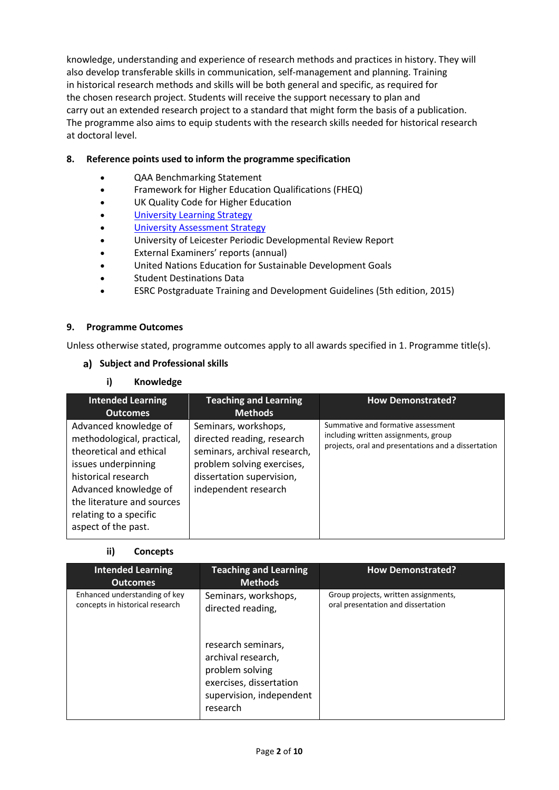knowledge, understanding and experience of research methods and practices in history. They will also develop transferable skills in communication, self-management and planning. Training in historical research methods and skills will be both general and specific, as required for the chosen research project. Students will receive the support necessary to plan and carry out an extended research project to a standard that might form the basis of a publication. The programme also aims to equip students with the research skills needed for historical research at doctoral level.

### **8. Reference points used to inform the programme specification**

- QAA Benchmarking Statement
- Framework for Higher Education Qualifications (FHEQ)
- UK Quality Code for Higher Education
- University Learning [Strategy](https://www2.le.ac.uk/offices/sas2/quality/learnteach)
- [University Assessment Strategy](https://www2.le.ac.uk/offices/sas2/quality/learnteach)
- University of Leicester Periodic Developmental Review Report
- External Examiners' reports (annual)
- United Nations Education for Sustainable Development Goals
- Student Destinations Data
- ESRC Postgraduate Training and Development Guidelines (5th edition, 2015)

#### **9. Programme Outcomes**

Unless otherwise stated, programme outcomes apply to all awards specified in 1. Programme title(s).

### **Subject and Professional skills**

**i) Knowledge**

| <b>Intended Learning</b><br><b>Outcomes</b>                                                                                                                                                                                          | <b>Teaching and Learning</b><br><b>Methods</b>                                                                                                                        | <b>How Demonstrated?</b>                                                                                                          |
|--------------------------------------------------------------------------------------------------------------------------------------------------------------------------------------------------------------------------------------|-----------------------------------------------------------------------------------------------------------------------------------------------------------------------|-----------------------------------------------------------------------------------------------------------------------------------|
| Advanced knowledge of<br>methodological, practical,<br>theoretical and ethical<br>issues underpinning<br>historical research<br>Advanced knowledge of<br>the literature and sources<br>relating to a specific<br>aspect of the past. | Seminars, workshops,<br>directed reading, research<br>seminars, archival research,<br>problem solving exercises,<br>dissertation supervision,<br>independent research | Summative and formative assessment<br>including written assignments, group<br>projects, oral and presentations and a dissertation |

### **ii) Concepts**

| <b>Intended Learning</b><br><b>Outcomes</b>                      | <b>Teaching and Learning</b><br><b>Methods</b>                                                                                                                              | <b>How Demonstrated?</b>                                                   |
|------------------------------------------------------------------|-----------------------------------------------------------------------------------------------------------------------------------------------------------------------------|----------------------------------------------------------------------------|
| Enhanced understanding of key<br>concepts in historical research | Seminars, workshops,<br>directed reading,<br>research seminars,<br>archival research,<br>problem solving<br>exercises, dissertation<br>supervision, independent<br>research | Group projects, written assignments,<br>oral presentation and dissertation |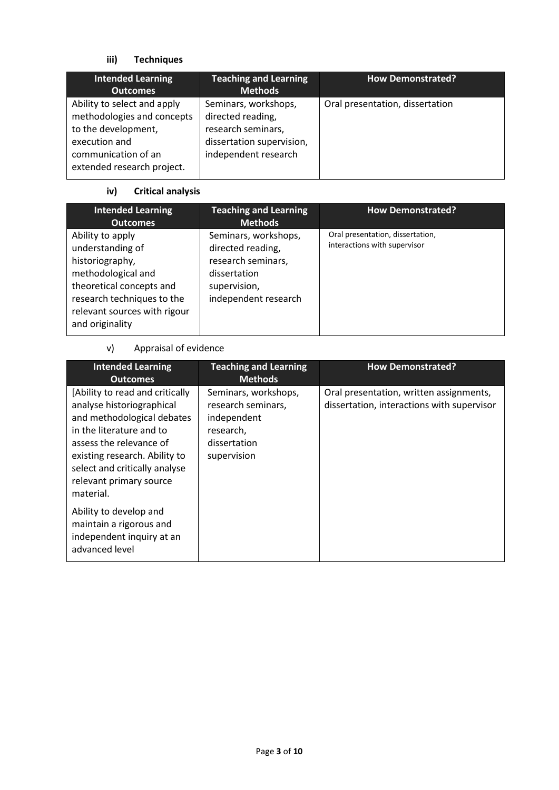# **iii) Techniques**

| <b>Intended Learning</b><br><b>Outcomes</b>                                                                                                            | <b>Teaching and Learning</b><br><b>Methods</b>                                                                       | <b>How Demonstrated?</b>        |
|--------------------------------------------------------------------------------------------------------------------------------------------------------|----------------------------------------------------------------------------------------------------------------------|---------------------------------|
| Ability to select and apply<br>methodologies and concepts<br>to the development,<br>execution and<br>communication of an<br>extended research project. | Seminars, workshops,<br>directed reading,<br>research seminars,<br>dissertation supervision,<br>independent research | Oral presentation, dissertation |

# **iv) Critical analysis**

| <b>Intended Learning</b><br><b>Outcomes</b>                                                                                                                                                | <b>Teaching and Learning</b><br><b>Methods</b>                                                                          | <b>How Demonstrated?</b>                                         |
|--------------------------------------------------------------------------------------------------------------------------------------------------------------------------------------------|-------------------------------------------------------------------------------------------------------------------------|------------------------------------------------------------------|
| Ability to apply<br>understanding of<br>historiography,<br>methodological and<br>theoretical concepts and<br>research techniques to the<br>relevant sources with rigour<br>and originality | Seminars, workshops,<br>directed reading,<br>research seminars,<br>dissertation<br>supervision,<br>independent research | Oral presentation, dissertation,<br>interactions with supervisor |

# v) Appraisal of evidence

| <b>Intended Learning</b><br><b>Outcomes</b>                                                                                                                                                                                                                 | <b>Teaching and Learning</b><br><b>Methods</b>                                                        | <b>How Demonstrated?</b>                                                              |
|-------------------------------------------------------------------------------------------------------------------------------------------------------------------------------------------------------------------------------------------------------------|-------------------------------------------------------------------------------------------------------|---------------------------------------------------------------------------------------|
| [Ability to read and critically<br>analyse historiographical<br>and methodological debates<br>in the literature and to<br>assess the relevance of<br>existing research. Ability to<br>select and critically analyse<br>relevant primary source<br>material. | Seminars, workshops,<br>research seminars,<br>independent<br>research,<br>dissertation<br>supervision | Oral presentation, written assignments,<br>dissertation, interactions with supervisor |
| Ability to develop and<br>maintain a rigorous and<br>independent inquiry at an<br>advanced level                                                                                                                                                            |                                                                                                       |                                                                                       |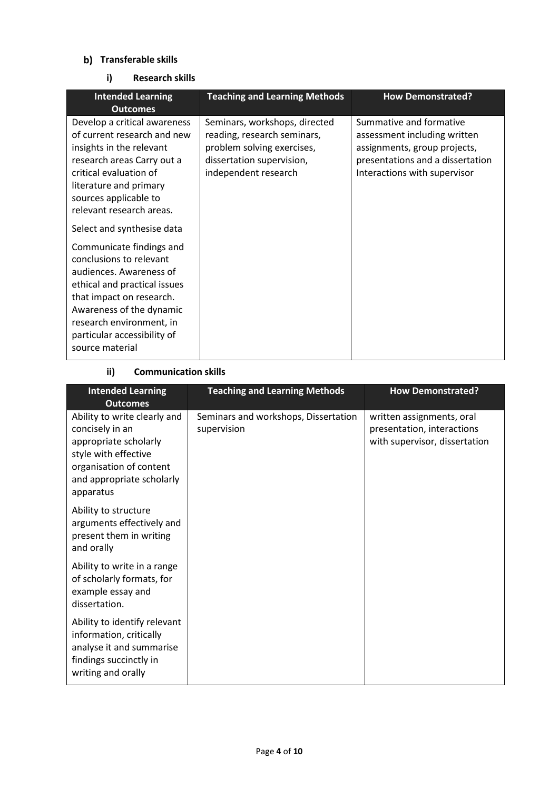### **Transferable skills**

### **i) Research skills**

| <b>Intended Learning</b><br><b>Outcomes</b>                                                                                                                                                                                                                                        | <b>Teaching and Learning Methods</b>                                                                                                            | <b>How Demonstrated?</b>                                                                                                                                    |
|------------------------------------------------------------------------------------------------------------------------------------------------------------------------------------------------------------------------------------------------------------------------------------|-------------------------------------------------------------------------------------------------------------------------------------------------|-------------------------------------------------------------------------------------------------------------------------------------------------------------|
| Develop a critical awareness<br>of current research and new<br>insights in the relevant<br>research areas Carry out a<br>critical evaluation of<br>literature and primary<br>sources applicable to<br>relevant research areas.                                                     | Seminars, workshops, directed<br>reading, research seminars,<br>problem solving exercises,<br>dissertation supervision,<br>independent research | Summative and formative<br>assessment including written<br>assignments, group projects,<br>presentations and a dissertation<br>Interactions with supervisor |
| Select and synthesise data<br>Communicate findings and<br>conclusions to relevant<br>audiences. Awareness of<br>ethical and practical issues<br>that impact on research.<br>Awareness of the dynamic<br>research environment, in<br>particular accessibility of<br>source material |                                                                                                                                                 |                                                                                                                                                             |

### **ii) Communication skills**

| <b>Intended Learning</b><br><b>Outcomes</b>                                                                                                                           | <b>Teaching and Learning Methods</b>                | <b>How Demonstrated?</b>                                                                 |
|-----------------------------------------------------------------------------------------------------------------------------------------------------------------------|-----------------------------------------------------|------------------------------------------------------------------------------------------|
| Ability to write clearly and<br>concisely in an<br>appropriate scholarly<br>style with effective<br>organisation of content<br>and appropriate scholarly<br>apparatus | Seminars and workshops, Dissertation<br>supervision | written assignments, oral<br>presentation, interactions<br>with supervisor, dissertation |
| Ability to structure<br>arguments effectively and<br>present them in writing<br>and orally                                                                            |                                                     |                                                                                          |
| Ability to write in a range<br>of scholarly formats, for<br>example essay and<br>dissertation.                                                                        |                                                     |                                                                                          |
| Ability to identify relevant<br>information, critically<br>analyse it and summarise<br>findings succinctly in<br>writing and orally                                   |                                                     |                                                                                          |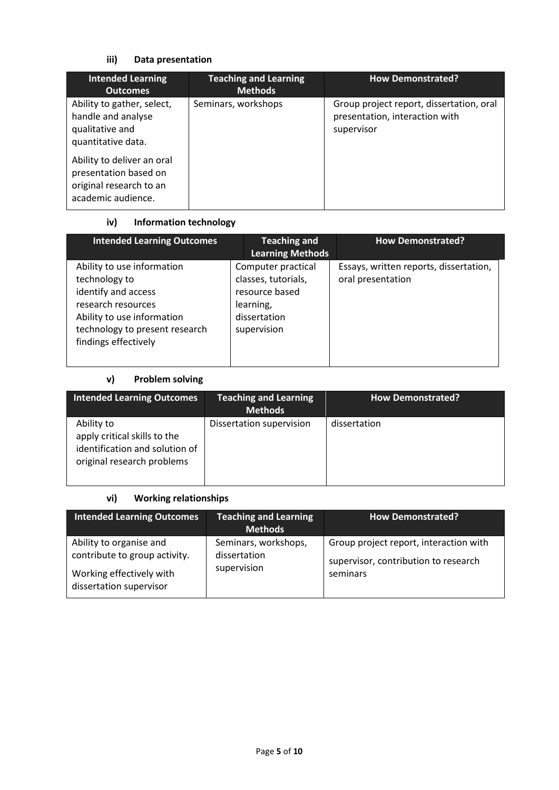# **iii) Data presentation**

| <b>Intended Learning</b><br><b>Outcomes</b>                                                          | <b>Teaching and Learning</b><br><b>Methods</b> | <b>How Demonstrated?</b>                                                                 |
|------------------------------------------------------------------------------------------------------|------------------------------------------------|------------------------------------------------------------------------------------------|
| Ability to gather, select,<br>handle and analyse<br>qualitative and<br>quantitative data.            | Seminars, workshops                            | Group project report, dissertation, oral<br>presentation, interaction with<br>supervisor |
| Ability to deliver an oral<br>presentation based on<br>original research to an<br>academic audience. |                                                |                                                                                          |

# **iv) Information technology**

| <b>Intended Learning Outcomes</b>                                                                                                                                                | <b>Teaching and</b><br><b>Learning Methods</b>                                                          | <b>How Demonstrated?</b>                                    |
|----------------------------------------------------------------------------------------------------------------------------------------------------------------------------------|---------------------------------------------------------------------------------------------------------|-------------------------------------------------------------|
| Ability to use information<br>technology to<br>identify and access<br>research resources<br>Ability to use information<br>technology to present research<br>findings effectively | Computer practical<br>classes, tutorials,<br>resource based<br>learning,<br>dissertation<br>supervision | Essays, written reports, dissertation,<br>oral presentation |

# **v) Problem solving**

| <b>Intended Learning Outcomes</b>                                                                          | <b>Teaching and Learning</b><br><b>Methods</b> | <b>How Demonstrated?</b> |
|------------------------------------------------------------------------------------------------------------|------------------------------------------------|--------------------------|
| Ability to<br>apply critical skills to the<br>identification and solution of<br>original research problems | Dissertation supervision                       | dissertation             |

### **vi) Working relationships**

| <b>Intended Learning Outcomes</b>                                                                               | <b>Teaching and Learning</b><br><b>Methods</b>      | <b>How Demonstrated?</b>                                                                   |
|-----------------------------------------------------------------------------------------------------------------|-----------------------------------------------------|--------------------------------------------------------------------------------------------|
| Ability to organise and<br>contribute to group activity.<br>Working effectively with<br>dissertation supervisor | Seminars, workshops,<br>dissertation<br>supervision | Group project report, interaction with<br>supervisor, contribution to research<br>seminars |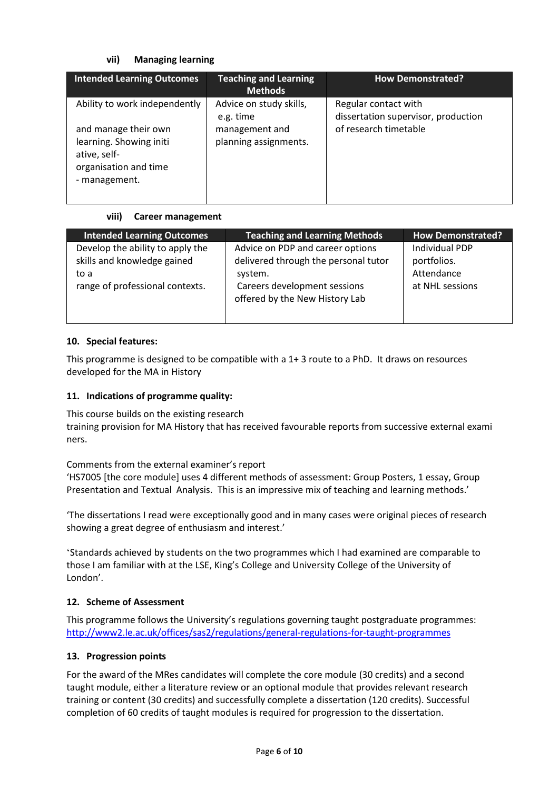### **vii) Managing learning**

| <b>Intended Learning Outcomes</b>                                                                         | <b>Teaching and Learning</b><br><b>Methods</b> | <b>How Demonstrated?</b>                                    |
|-----------------------------------------------------------------------------------------------------------|------------------------------------------------|-------------------------------------------------------------|
| Ability to work independently                                                                             | Advice on study skills,<br>e.g. time           | Regular contact with<br>dissertation supervisor, production |
| and manage their own<br>learning. Showing initi<br>ative, self-<br>organisation and time<br>- management. | management and<br>planning assignments.        | of research timetable                                       |

### **viii) Career management**

| <b>Intended Learning Outcomes</b>                                                                          | <b>Teaching and Learning Methods</b>                                                                                                                  | <b>How Demonstrated?</b>                                              |
|------------------------------------------------------------------------------------------------------------|-------------------------------------------------------------------------------------------------------------------------------------------------------|-----------------------------------------------------------------------|
| Develop the ability to apply the<br>skills and knowledge gained<br>to a<br>range of professional contexts. | Advice on PDP and career options<br>delivered through the personal tutor<br>system.<br>Careers development sessions<br>offered by the New History Lab | <b>Individual PDP</b><br>portfolios.<br>Attendance<br>at NHL sessions |

### **10. Special features:**

This programme is designed to be compatible with a 1+ 3 route to a PhD. It draws on resources developed for the MA in History

### **11. Indications of programme quality:**

This course builds on the existing research training provision for MA History that has received favourable reports from successive external exami ners.

Comments from the external examiner's report 'HS7005 [the core module] uses 4 different methods of assessment: Group Posters, 1 essay, Group Presentation and Textual Analysis. This is an impressive mix of teaching and learning methods.'

'The dissertations I read were exceptionally good and in many cases were original pieces of research showing a great degree of enthusiasm and interest.'

'Standards achieved by students on the two programmes which I had examined are comparable to those I am familiar with at the LSE, King's College and University College of the University of London'.

### **12. Scheme of Assessment**

This programme follows the University's regulations governing taught postgraduate programmes: <http://www2.le.ac.uk/offices/sas2/regulations/general-regulations-for-taught-programmes>

### **13. Progression points**

For the award of the MRes candidates will complete the core module (30 credits) and a second taught module, either a literature review or an optional module that provides relevant research training or content (30 credits) and successfully complete a dissertation (120 credits). Successful completion of 60 credits of taught modules is required for progression to the dissertation.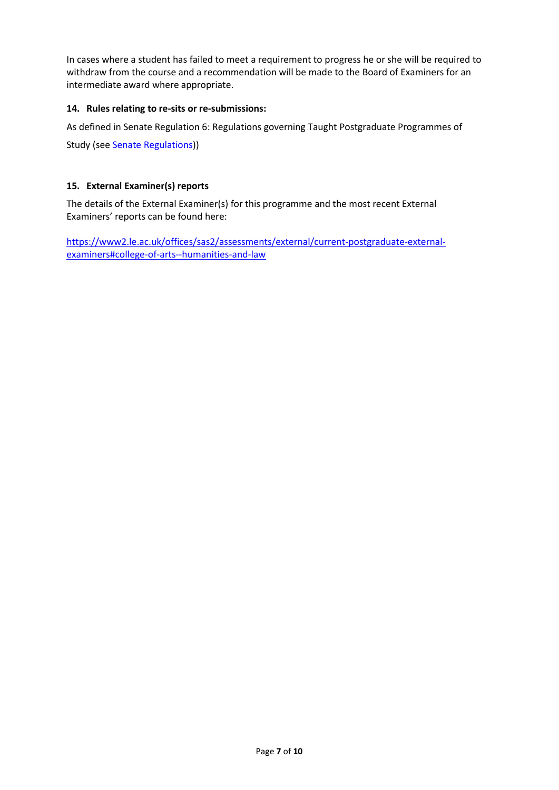In cases where a student has failed to meet a requirement to progress he or she will be required to withdraw from the course and a recommendation will be made to the Board of Examiners for an intermediate award where appropriate.

### **14. Rules relating to re-sits or re-submissions:**

As defined in Senate Regulation 6: Regulations governing Taught Postgraduate Programmes of

Study (see Senate Regulations))

### **15. External Examiner(s) reports**

The details of the External Examiner(s) for this programme and the most recent External Examiners' reports can be found here:

[https://www2.le.ac.uk/offices/sas2/assessments/external/current-postgraduate-external](https://www2.le.ac.uk/offices/sas2/assessments/external/current-postgraduate-external-examiners#college-of-arts--humanities-and-law)[examiners#college-of-arts--humanities-and-law](https://www2.le.ac.uk/offices/sas2/assessments/external/current-postgraduate-external-examiners#college-of-arts--humanities-and-law)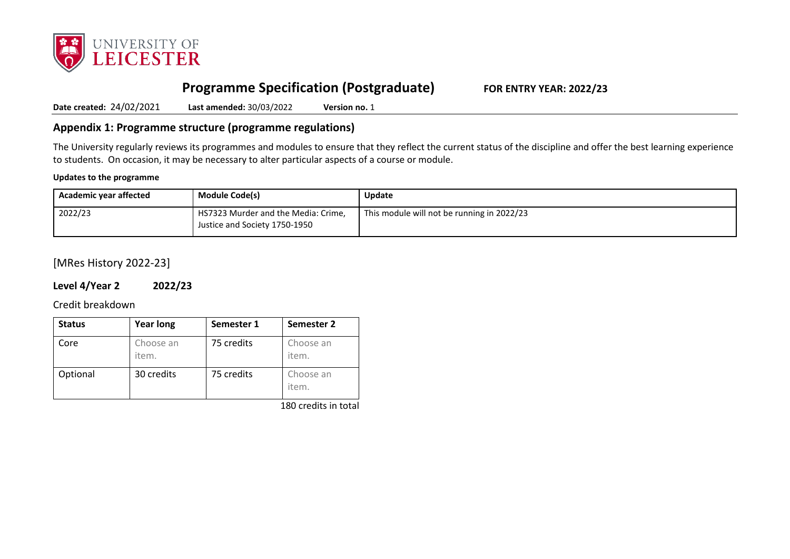

# **Programme Specification (Postgraduate) FOR ENTRY YEAR: 2022/23**

**Date created:** 24/02/2021 **Last amended:** 30/03/2022 **Version no.** 1

# **Appendix 1: Programme structure (programme regulations)**

The University regularly reviews its programmes and modules to ensure that they reflect the current status of the discipline and offer the best learning experience to students. On occasion, it may be necessary to alter particular aspects of a course or module.

#### **Updates to the programme**

| Academic year affected | <b>Module Code(s)</b>                                                | <b>Update</b>                              |
|------------------------|----------------------------------------------------------------------|--------------------------------------------|
| 2022/23                | HS7323 Murder and the Media: Crime,<br>Justice and Society 1750-1950 | This module will not be running in 2022/23 |

# [MRes History 2022-23]

# **Level 4/Year 2 2022/23**

Credit breakdown

| <b>Status</b> | <b>Year long</b>   | Semester 1 | Semester 2         |
|---------------|--------------------|------------|--------------------|
| Core          | Choose an<br>item. | 75 credits | Choose an<br>item. |
| Optional      | 30 credits         | 75 credits | Choose an<br>item. |

180 credits in total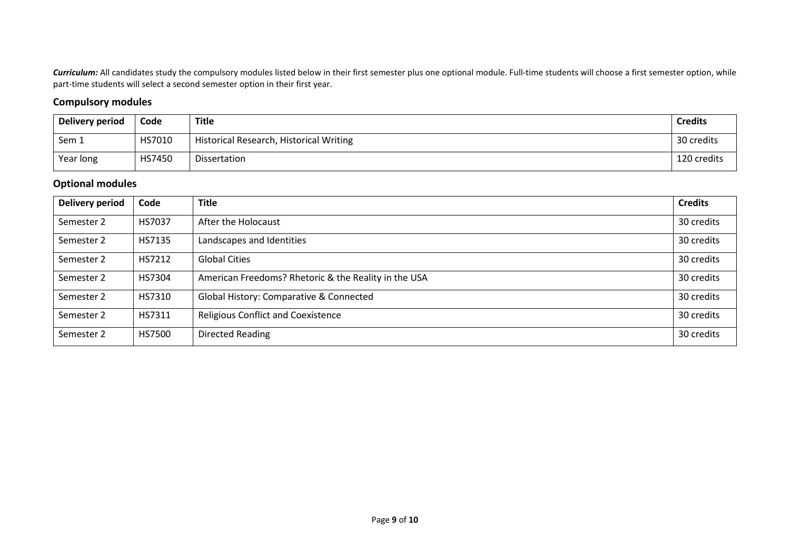Curriculum: All candidates study the compulsory modules listed below in their first semester plus one optional module. Full-time students will choose a first semester option, while part-time students will select a second semester option in their first year.

# **Compulsory modules**

| Delivery period | Code   | <b>Title</b>                            | <b>Credits</b> |
|-----------------|--------|-----------------------------------------|----------------|
| Sem 1           | HS7010 | Historical Research, Historical Writing | 30 credits     |
| Year long       | HS7450 | Dissertation                            | 120 credits    |

## **Optional modules**

| <b>Delivery period</b> | Code          | <b>Title</b>                                         | <b>Credits</b> |
|------------------------|---------------|------------------------------------------------------|----------------|
| Semester 2             | <b>HS7037</b> | After the Holocaust                                  | 30 credits     |
| Semester 2             | HS7135        | Landscapes and Identities                            | 30 credits     |
| Semester 2             | HS7212        | <b>Global Cities</b>                                 | 30 credits     |
| Semester 2             | HS7304        | American Freedoms? Rhetoric & the Reality in the USA | 30 credits     |
| Semester 2             | HS7310        | Global History: Comparative & Connected              | 30 credits     |
| Semester 2             | HS7311        | <b>Religious Conflict and Coexistence</b>            | 30 credits     |
| Semester 2             | HS7500        | <b>Directed Reading</b>                              | 30 credits     |